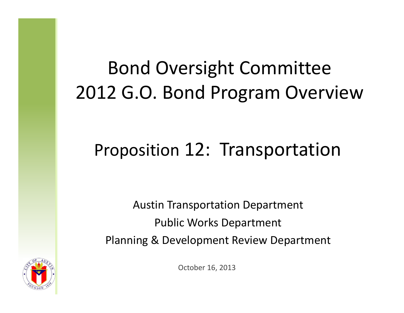## Bond Oversight Committee 2012 G.O. Bond Program Overview

### Proposition 12: Transportation

Austin Transportation Department Public Works Department Planning & Development Review Department

October 16, 2013

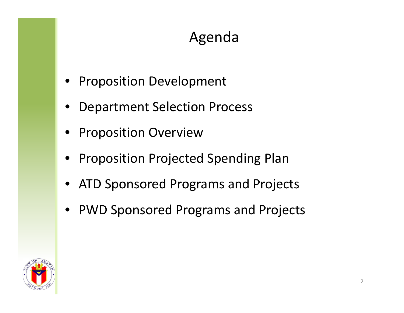### Agenda

- Proposition Development
- •Department Selection Process
- •Proposition Overview
- •Proposition Projected Spending Plan
- •ATD Sponsored Programs and Projects
- $\bullet$ PWD Sponsored Programs and Projects

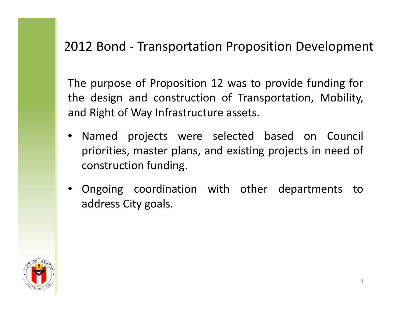#### 2012 Bond ‐ Transportation Proposition Development

The purpose of Proposition 12 was to provide funding for the design and construction of Transportation, Mobility, and Right of Way Infrastructure assets.

- Named projects were selected based on Council priorities, master plans, and existing projects in need of construction funding.
- Ongoing coordination with other departments to address City goals.

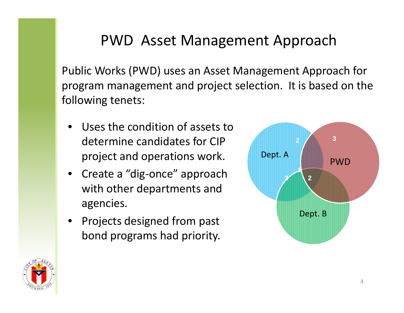#### PWD Asset Management Approach

Public Works (PWD) uses an Asset Management Approach for program management and project selection. It is based on the following tenets:

- • Uses the condition of assets todetermine candidates for CIPproject and operations work.
- Create <sup>a</sup> "dig‐once" approach with other departments and agencies.
- Projects designed from past bond programs had priority.



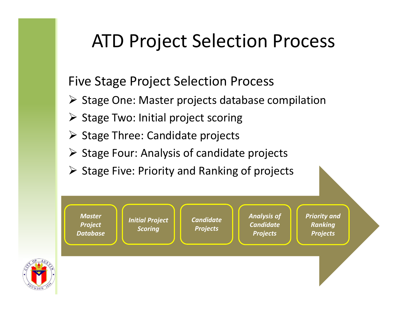## ATD Project Selection Process

#### Five Stage Project Selection Process

- Stage One: Master projects database compilation
- $\triangleright$  Stage Two: Initial project scoring
- > Stage Three: Candidate projects
- $\triangleright$  Stage Four: Analysis of candidate projects
- $\triangleright$  Stage Five: Priority and Ranking of projects

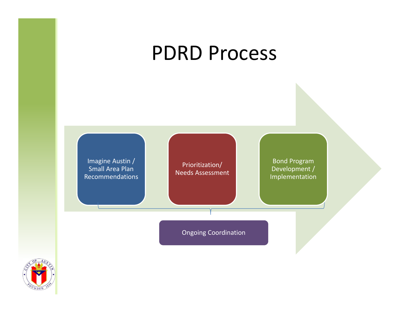## PDRD Process

Imagine Austin / Small Area Plan Recommendations

Prioritization/ Needs Assessment

Bond Program Development / Implementation

Ongoing Coordination

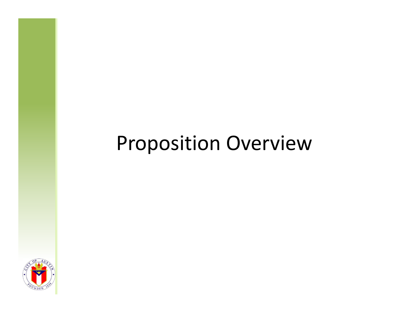## Proposition Overview

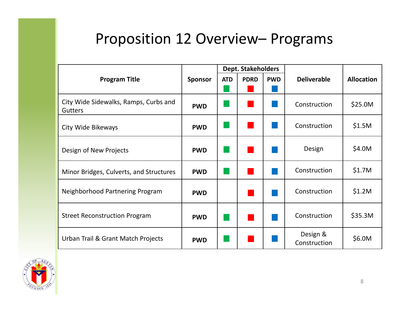#### Proposition 12 Overview– Programs

|                                                         |                | <b>Dept. Stakeholders</b> |             |            |                          |                   |
|---------------------------------------------------------|----------------|---------------------------|-------------|------------|--------------------------|-------------------|
| <b>Program Title</b>                                    | <b>Sponsor</b> | <b>ATD</b>                | <b>PDRD</b> | <b>PWD</b> | <b>Deliverable</b>       | <b>Allocation</b> |
|                                                         |                |                           |             |            |                          |                   |
| City Wide Sidewalks, Ramps, Curbs and<br><b>Gutters</b> | <b>PWD</b>     |                           |             |            | Construction             | \$25.0M           |
| City Wide Bikeways                                      | <b>PWD</b>     |                           |             |            | Construction             | \$1.5M            |
| Design of New Projects                                  | <b>PWD</b>     |                           |             |            | Design                   | \$4.0M            |
| Minor Bridges, Culverts, and Structures                 | <b>PWD</b>     |                           |             |            | Construction             | \$1.7M            |
| Neighborhood Partnering Program                         | <b>PWD</b>     |                           |             |            | Construction             | \$1.2M            |
| <b>Street Reconstruction Program</b>                    | <b>PWD</b>     |                           |             |            | Construction             | \$35.3M           |
| Urban Trail & Grant Match Projects                      | <b>PWD</b>     |                           |             |            | Design &<br>Construction | \$6.0M            |

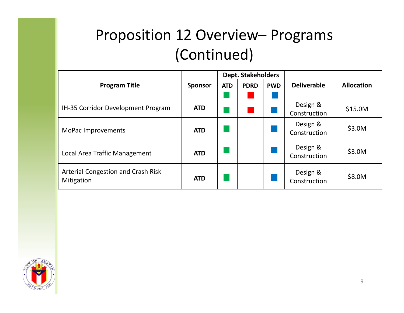### Proposition 12 Overview– Programs (Continued)

|                                                  |                | <b>Dept. Stakeholders</b> |             |            |                          |                   |
|--------------------------------------------------|----------------|---------------------------|-------------|------------|--------------------------|-------------------|
| <b>Program Title</b>                             | <b>Sponsor</b> | <b>ATD</b>                | <b>PDRD</b> | <b>PWD</b> | <b>Deliverable</b>       | <b>Allocation</b> |
| IH-35 Corridor Development Program               | <b>ATD</b>     |                           |             |            | Design &<br>Construction | \$15.0M           |
| MoPac Improvements                               | <b>ATD</b>     |                           |             |            | Design &<br>Construction | \$3.0M            |
| Local Area Traffic Management                    | <b>ATD</b>     |                           |             |            | Design &<br>Construction | \$3.0M            |
| Arterial Congestion and Crash Risk<br>Mitigation | <b>ATD</b>     |                           |             |            | Design &<br>Construction | \$8.0M            |

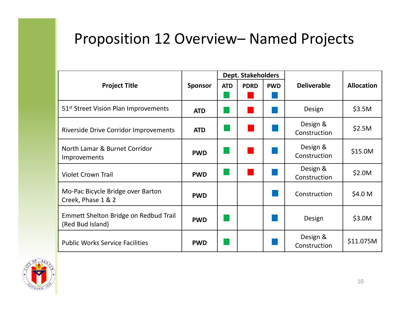#### Proposition 12 Overview– Named Projects

|                                                           |                | <b>Dept. Stakeholders</b> |             |            |                          |                   |
|-----------------------------------------------------------|----------------|---------------------------|-------------|------------|--------------------------|-------------------|
| <b>Project Title</b>                                      | <b>Sponsor</b> | <b>ATD</b>                | <b>PDRD</b> | <b>PWD</b> | <b>Deliverable</b>       | <b>Allocation</b> |
|                                                           |                |                           |             |            |                          |                   |
| 51 <sup>st</sup> Street Vision Plan Improvements          | <b>ATD</b>     |                           |             |            | Design                   | \$3.5M            |
| <b>Riverside Drive Corridor Improvements</b>              | <b>ATD</b>     |                           |             |            | Design &<br>Construction | \$2.5M            |
| North Lamar & Burnet Corridor<br>Improvements             | <b>PWD</b>     |                           |             |            | Design &<br>Construction | \$15.0M           |
| <b>Violet Crown Trail</b>                                 | <b>PWD</b>     |                           |             |            | Design &<br>Construction | \$2.0M            |
| Mo-Pac Bicycle Bridge over Barton<br>Creek, Phase 1 & 2   | <b>PWD</b>     |                           |             |            | Construction             | \$4.0 M           |
| Emmett Shelton Bridge on Redbud Trail<br>(Red Bud Island) | <b>PWD</b>     |                           |             |            | Design                   | \$3.0M            |
| <b>Public Works Service Facilities</b>                    | <b>PWD</b>     |                           |             |            | Design &<br>Construction | \$11.075M         |

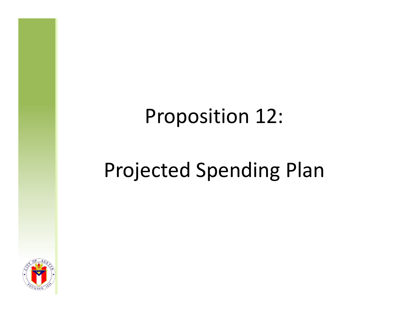## Proposition 12:

## Projected Spending Plan

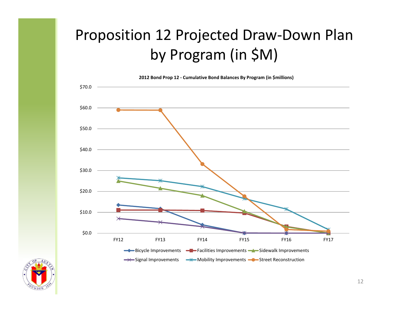### Proposition 12 Projected Draw‐Down Plan by Program (in \$M)

**2012 Bond Prop <sup>12</sup> ‐ Cumulative Bond Balances By Program (in \$millions)**



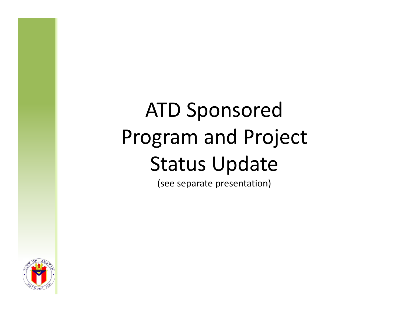# ATD Sponsored Program and Project Status Update

(see separate presentation)

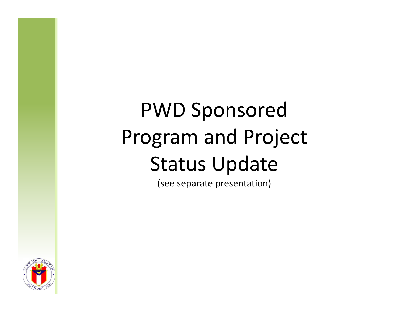# PWD Sponsored Program and Project Status Update

(see separate presentation)